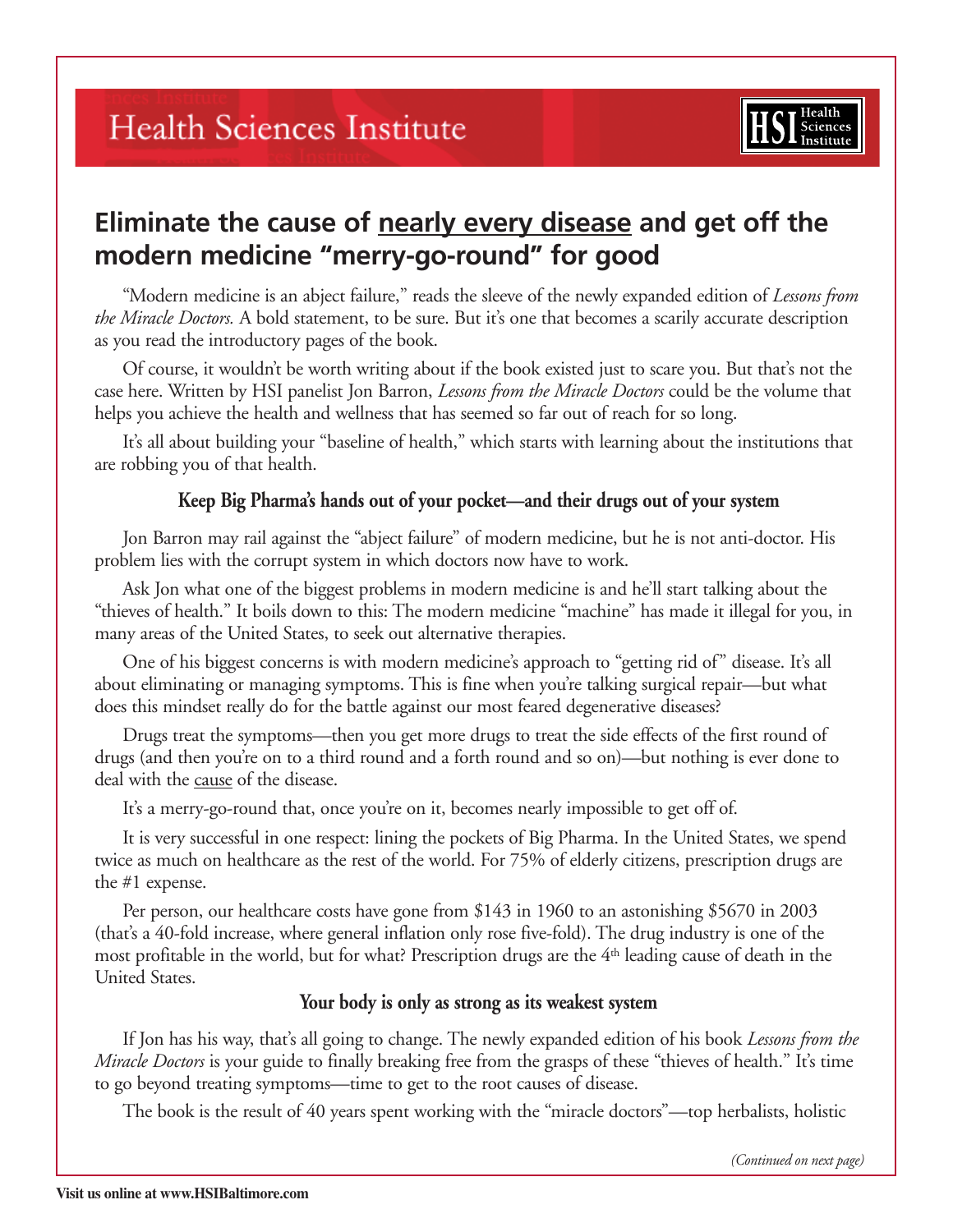## **Health Sciences Institute**



## **Eliminate the cause of nearly every disease and get off the modern medicine "merry-go-round" for good**

"Modern medicine is an abject failure," reads the sleeve of the newly expanded edition of *Lessons from the Miracle Doctors.* A bold statement, to be sure. But it's one that becomes a scarily accurate description as you read the introductory pages of the book.

Of course, it wouldn't be worth writing about if the book existed just to scare you. But that's not the case here. Written by HSI panelist Jon Barron, *Lessons from the Miracle Doctors* could be the volume that helps you achieve the health and wellness that has seemed so far out of reach for so long.

It's all about building your "baseline of health," which starts with learning about the institutions that are robbing you of that health.

## **Keep Big Pharma's hands out of your pocket—and their drugs out of your system**

Jon Barron may rail against the "abject failure" of modern medicine, but he is not anti-doctor. His problem lies with the corrupt system in which doctors now have to work.

Ask Jon what one of the biggest problems in modern medicine is and he'll start talking about the "thieves of health." It boils down to this: The modern medicine "machine" has made it illegal for you, in many areas of the United States, to seek out alternative therapies.

One of his biggest concerns is with modern medicine's approach to "getting rid of" disease. It's all about eliminating or managing symptoms. This is fine when you're talking surgical repair—but what does this mindset really do for the battle against our most feared degenerative diseases?

Drugs treat the symptoms—then you get more drugs to treat the side effects of the first round of drugs (and then you're on to a third round and a forth round and so on)—but nothing is ever done to deal with the cause of the disease.

It's a merry-go-round that, once you're on it, becomes nearly impossible to get off of.

It is very successful in one respect: lining the pockets of Big Pharma. In the United States, we spend twice as much on healthcare as the rest of the world. For 75% of elderly citizens, prescription drugs are the #1 expense.

Per person, our healthcare costs have gone from \$143 in 1960 to an astonishing \$5670 in 2003 (that's a 40-fold increase, where general inflation only rose five-fold). The drug industry is one of the most profitable in the world, but for what? Prescription drugs are the 4th leading cause of death in the United States.

## **Your body is only as strong as its weakest system**

If Jon has his way, that's all going to change. The newly expanded edition of his book *Lessons from the Miracle Doctors* is your guide to finally breaking free from the grasps of these "thieves of health." It's time to go beyond treating symptoms—time to get to the root causes of disease.

The book is the result of 40 years spent working with the "miracle doctors"—top herbalists, holistic